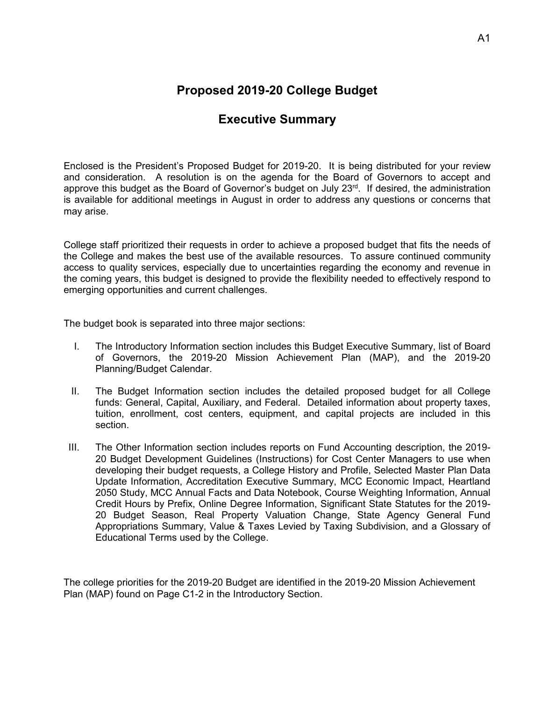## **Proposed 2019-20 College Budget**

## **Executive Summary**

Enclosed is the President's Proposed Budget for 2019-20. It is being distributed for your review and consideration. A resolution is on the agenda for the Board of Governors to accept and approve this budget as the Board of Governor's budget on July  $23<sup>rd</sup>$ . If desired, the administration is available for additional meetings in August in order to address any questions or concerns that may arise.

College staff prioritized their requests in order to achieve a proposed budget that fits the needs of the College and makes the best use of the available resources. To assure continued community access to quality services, especially due to uncertainties regarding the economy and revenue in the coming years, this budget is designed to provide the flexibility needed to effectively respond to emerging opportunities and current challenges.

The budget book is separated into three major sections:

- I. The Introductory Information section includes this Budget Executive Summary, list of Board of Governors, the 2019-20 Mission Achievement Plan (MAP), and the 2019-20 Planning/Budget Calendar.
- II. The Budget Information section includes the detailed proposed budget for all College funds: General, Capital, Auxiliary, and Federal. Detailed information about property taxes, tuition, enrollment, cost centers, equipment, and capital projects are included in this section.
- III. The Other Information section includes reports on Fund Accounting description, the 2019- 20 Budget Development Guidelines (Instructions) for Cost Center Managers to use when developing their budget requests, a College History and Profile, Selected Master Plan Data Update Information, Accreditation Executive Summary, MCC Economic Impact, Heartland 2050 Study, MCC Annual Facts and Data Notebook, Course Weighting Information, Annual Credit Hours by Prefix, Online Degree Information, Significant State Statutes for the 2019- 20 Budget Season, Real Property Valuation Change, State Agency General Fund Appropriations Summary, Value & Taxes Levied by Taxing Subdivision, and a Glossary of Educational Terms used by the College.

The college priorities for the 2019-20 Budget are identified in the 2019-20 Mission Achievement Plan (MAP) found on Page C1-2 in the Introductory Section.